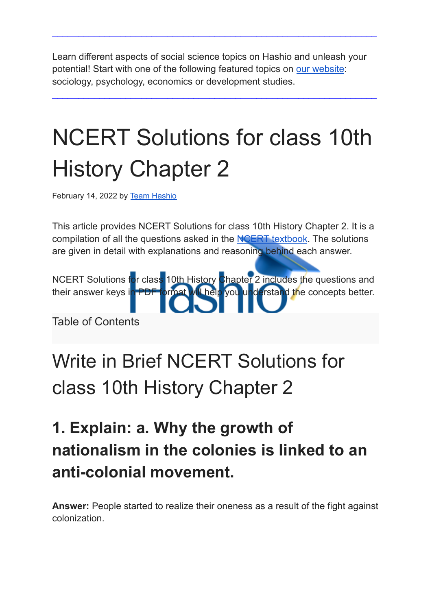Learn different aspects of social science topics on Hashio and unleash your potential! Start with one of the following featured topics on our [website](https://hashio.in/): sociology, psychology, economics or development studies.

 $\_$  , and the set of the set of the set of the set of the set of the set of the set of the set of the set of the set of the set of the set of the set of the set of the set of the set of the set of the set of the set of th

 $\_$  , and the set of the set of the set of the set of the set of the set of the set of the set of the set of the set of the set of the set of the set of the set of the set of the set of the set of the set of the set of th

# NCERT Solutions for class 10th History Chapter 2

February 14, 2022 by Team [Hashio](https://hashio.in/)

This article provides NCERT Solutions for class 10th History Chapter 2. It is a compilation of all the questions asked in the **NCERT** [textbook](https://www.ncertbooks.guru/ncert-class-10-history-books/). The solutions are given in detail with explanations and reasoning behind each answer.

NCERT Solutions for class 10th History Chapter 2 includes the questions and their answer keys in PDF format will help you understand the concepts better.

Table of Contents

## Write in Brief NCERT Solutions for class 10th History Chapter 2

### **1. Explain: a. Why the growth of nationalism in the colonies is linked to an anti-colonial movement.**

**Answer:** People started to realize their oneness as a result of the fight against colonization.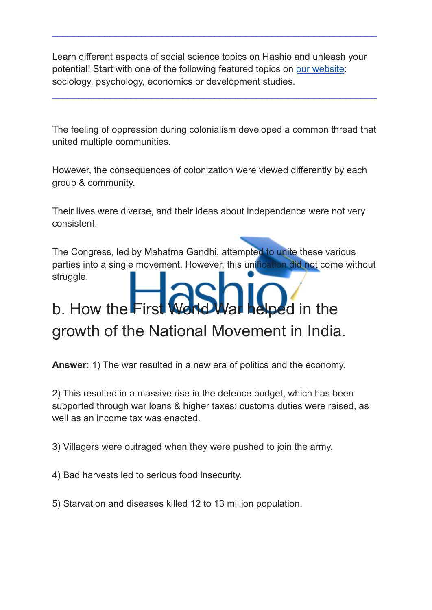$\_$  , and the set of the set of the set of the set of the set of the set of the set of the set of the set of the set of the set of the set of the set of the set of the set of the set of the set of the set of the set of th

The feeling of oppression during colonialism developed a common thread that united multiple communities.

 $\_$  , and the set of the set of the set of the set of the set of the set of the set of the set of the set of the set of the set of the set of the set of the set of the set of the set of the set of the set of the set of th

However, the consequences of colonization were viewed differently by each group & community.

Their lives were diverse, and their ideas about independence were not very consistent.

The Congress, led by Mahatma Gandhi, attempted to unite these various parties into a single movement. However, this unification did not come without struggle.

## b. How the First World War helped in the growth of the National Movement in India.

**Answer:** 1) The war resulted in a new era of politics and the economy.

2) This resulted in a massive rise in the defence budget, which has been supported through war loans & higher taxes: customs duties were raised, as well as an income tax was enacted.

3) Villagers were outraged when they were pushed to join the army.

4) Bad harvests led to serious food insecurity.

5) Starvation and diseases killed 12 to 13 million population.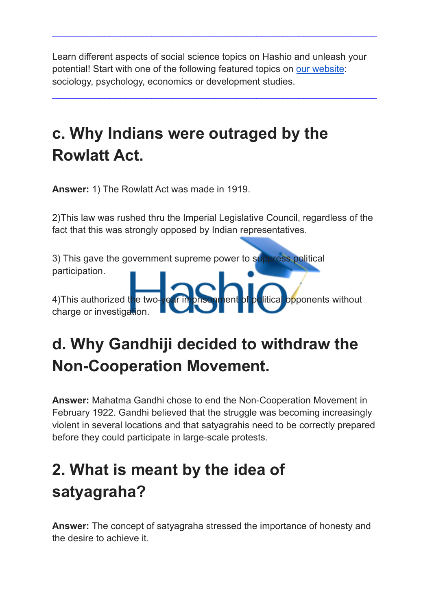$\_$  , and the set of the set of the set of the set of the set of the set of the set of the set of the set of the set of the set of the set of the set of the set of the set of the set of the set of the set of the set of th

 $\_$  , and the set of the set of the set of the set of the set of the set of the set of the set of the set of the set of the set of the set of the set of the set of the set of the set of the set of the set of the set of th

### **c. Why Indians were outraged by the Rowlatt Act.**

**Answer:** 1) The Rowlatt Act was made in 1919.

2)This law was rushed thru the Imperial Legislative Council, regardless of the fact that this was strongly opposed by Indian representatives.

3) This gave the government supreme power to suppress political participation. 4)This authorized the two-vear imprisonment of political opponents without charge or investigation.

### **d. Why Gandhiji decided to withdraw the Non-Cooperation Movement.**

**Answer:** Mahatma Gandhi chose to end the Non-Cooperation Movement in February 1922. Gandhi believed that the struggle was becoming increasingly violent in several locations and that satyagrahis need to be correctly prepared before they could participate in large-scale protests.

### **2. What is meant by the idea of satyagraha?**

**Answer:** The concept of satyagraha stressed the importance of honesty and the desire to achieve it.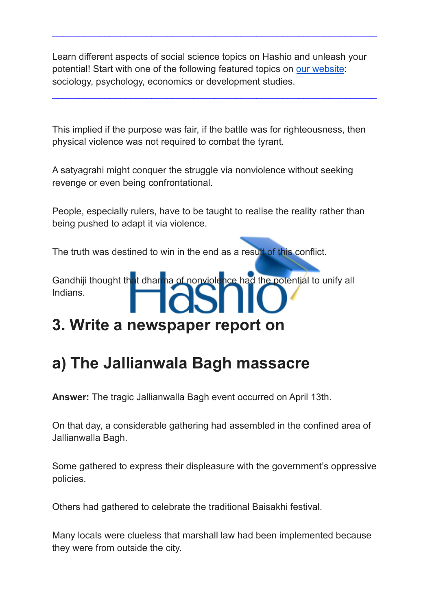$\_$  , and the set of the set of the set of the set of the set of the set of the set of the set of the set of the set of the set of the set of the set of the set of the set of the set of the set of the set of the set of th

 $\_$  , and the set of the set of the set of the set of the set of the set of the set of the set of the set of the set of the set of the set of the set of the set of the set of the set of the set of the set of the set of th

This implied if the purpose was fair, if the battle was for righteousness, then physical violence was not required to combat the tyrant.

A satyagrahi might conquer the struggle via nonviolence without seeking revenge or even being confrontational.

People, especially rulers, have to be taught to realise the reality rather than being pushed to adapt it via violence.

The truth was destined to win in the end as a result of this conflict.

Gandhiji thought that dharma of nonviolence had the potential to unify all Indians.

#### **3. Write a newspaper report on**

### **a) The Jallianwala Bagh massacre**

**Answer:** The tragic Jallianwalla Bagh event occurred on April 13th.

On that day, a considerable gathering had assembled in the confined area of Jallianwalla Bagh.

Some gathered to express their displeasure with the government's oppressive policies.

Others had gathered to celebrate the traditional Baisakhi festival.

Many locals were clueless that marshall law had been implemented because they were from outside the city.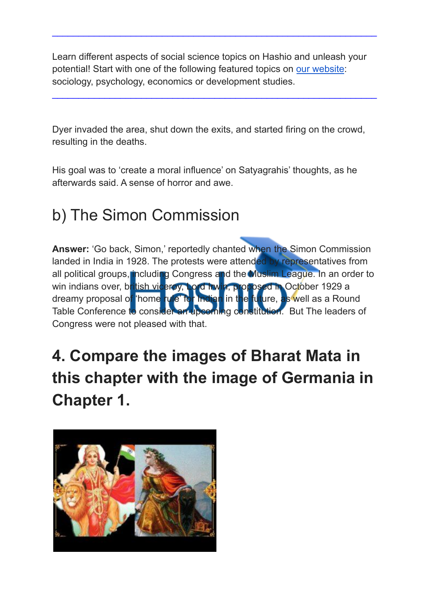$\_$  , and the set of the set of the set of the set of the set of the set of the set of the set of the set of the set of the set of the set of the set of the set of the set of the set of the set of the set of the set of th

 $\_$  , and the set of the set of the set of the set of the set of the set of the set of the set of the set of the set of the set of the set of the set of the set of the set of the set of the set of the set of the set of th

Dyer invaded the area, shut down the exits, and started firing on the crowd, resulting in the deaths.

His goal was to 'create a moral influence' on Satyagrahis' thoughts, as he afterwards said. A sense of horror and awe.

### b) The Simon Commission

**Answer:** 'Go back, Simon,' reportedly chanted when the Simon Commission landed in India in 1928. The protests were attended by representatives from all political groups, including Congress and the Muslim League. In an order to win indians over, british viceroy, Lord Irwin, proposed in October 1929 a dreamy proposal of 'home rule' for Indian in the future, as well as a Round Table Conference to consider an upcoming constitution. But The leaders of Congress were not pleased with that.

### **4. Compare the images of Bharat Mata in this chapter with the image of Germania in Chapter 1.**

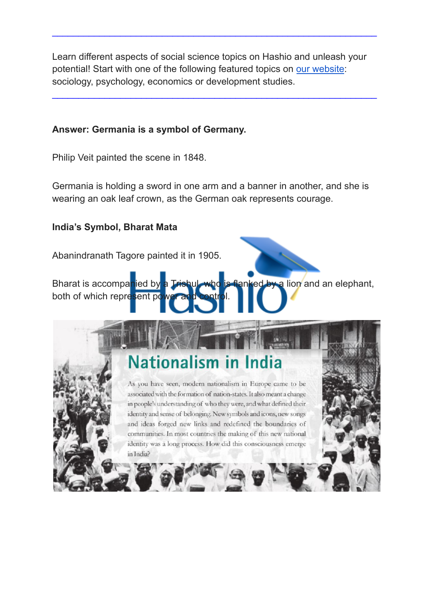$\_$  , and the set of the set of the set of the set of the set of the set of the set of the set of the set of the set of the set of the set of the set of the set of the set of the set of the set of the set of the set of th

 $\_$  , and the set of the set of the set of the set of the set of the set of the set of the set of the set of the set of the set of the set of the set of the set of the set of the set of the set of the set of the set of th

#### **Answer: Germania is a symbol of Germany.**

Philip Veit painted the scene in 1848.

Germania is holding a sword in one arm and a banner in another, and she is wearing an oak leaf crown, as the German oak represents courage.

#### **India's Symbol, Bharat Mata**

Abanindranath Tagore painted it in 1905.

Bharat is accompanied by a Trishul, who is flanked by a lion and an elephant, both of which represent power

### **Nationalism in India**

As you have seen, modern nationalism in Europe came to be associated with the formation of nation-states. It also meant a change in people's understanding of who they were, and what defined their identity and sense of belonging. New symbols and icons, new songs and ideas forged new links and redefined the boundaries of communities. In most countries the making of this new national identity was a long process. How did this consciousness emerge in India?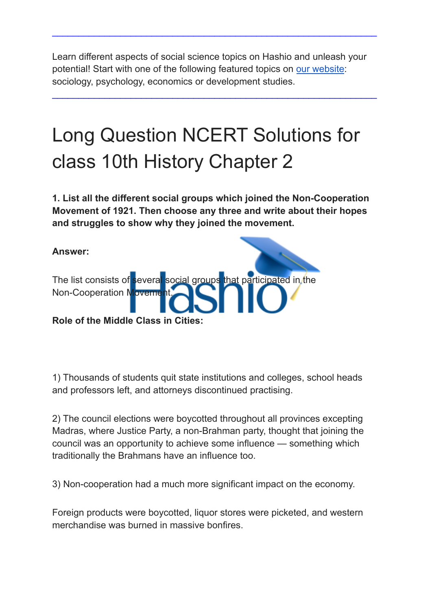$\_$  , and the set of the set of the set of the set of the set of the set of the set of the set of the set of the set of the set of the set of the set of the set of the set of the set of the set of the set of the set of th

 $\_$  , and the set of the set of the set of the set of the set of the set of the set of the set of the set of the set of the set of the set of the set of the set of the set of the set of the set of the set of the set of th

## Long Question NCERT Solutions for class 10th History Chapter 2

**1. List all the different social groups which joined the Non-Cooperation Movement of 1921. Then choose any three and write about their hopes and struggles to show why they joined the movement.**



1) Thousands of students quit state institutions and colleges, school heads and professors left, and attorneys discontinued practising.

2) The council elections were boycotted throughout all provinces excepting Madras, where Justice Party, a non-Brahman party, thought that joining the council was an opportunity to achieve some influence — something which traditionally the Brahmans have an influence too.

3) Non-cooperation had a much more significant impact on the economy.

Foreign products were boycotted, liquor stores were picketed, and western merchandise was burned in massive bonfires.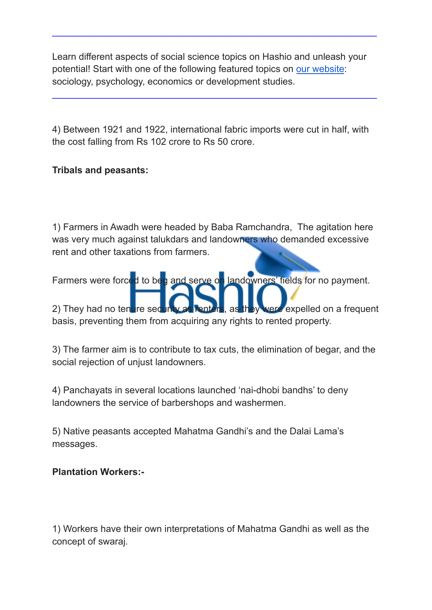$\_$  , and the set of the set of the set of the set of the set of the set of the set of the set of the set of the set of the set of the set of the set of the set of the set of the set of the set of the set of the set of th

 $\_$  , and the set of the set of the set of the set of the set of the set of the set of the set of the set of the set of the set of the set of the set of the set of the set of the set of the set of the set of the set of th

4) Between 1921 and 1922, international fabric imports were cut in half, with the cost falling from Rs 102 crore to Rs 50 crore.

#### **Tribals and peasants:**

1) Farmers in Awadh were headed by Baba Ramchandra, The agitation here was very much against talukdars and landowners who demanded excessive rent and other taxations from farmers.

Farmers were forced to beg and serve on landowners' fields for no payment.

2) They had no tenure security as renters, as they were expelled on a frequent basis, preventing them from acquiring any rights to rented property.

3) The farmer aim is to contribute to tax cuts, the elimination of begar, and the social rejection of unjust landowners.

4) Panchayats in several locations launched 'nai-dhobi bandhs' to deny landowners the service of barbershops and washermen.

5) Native peasants accepted Mahatma Gandhi's and the Dalai Lama's messages.

#### **Plantation Workers:-**

1) Workers have their own interpretations of Mahatma Gandhi as well as the concept of swaraj.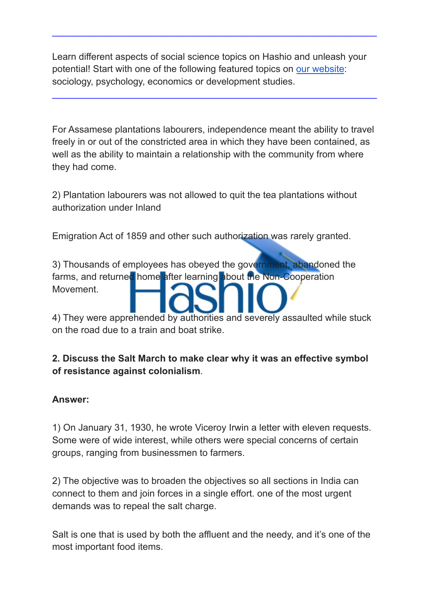$\_$  , and the set of the set of the set of the set of the set of the set of the set of the set of the set of the set of the set of the set of the set of the set of the set of the set of the set of the set of the set of th

 $\_$  , and the set of the set of the set of the set of the set of the set of the set of the set of the set of the set of the set of the set of the set of the set of the set of the set of the set of the set of the set of th

For Assamese plantations labourers, independence meant the ability to travel freely in or out of the constricted area in which they have been contained, as well as the ability to maintain a relationship with the community from where they had come.

2) Plantation labourers was not allowed to quit the tea plantations without authorization under Inland

Emigration Act of 1859 and other such authorization was rarely granted.

3) Thousands of employees has obeyed the government, abandoned the farms, and returned home after learning about the Non-Cooperation Movement.

4) They were apprehended by authorities and severely assaulted while stuck on the road due to a train and boat strike.

#### **2. Discuss the Salt March to make clear why it was an effective symbol of resistance against colonialism**.

#### **Answer:**

1) On January 31, 1930, he wrote Viceroy Irwin a letter with eleven requests. Some were of wide interest, while others were special concerns of certain groups, ranging from businessmen to farmers.

2) The objective was to broaden the objectives so all sections in India can connect to them and join forces in a single effort. one of the most urgent demands was to repeal the salt charge.

Salt is one that is used by both the affluent and the needy, and it's one of the most important food items.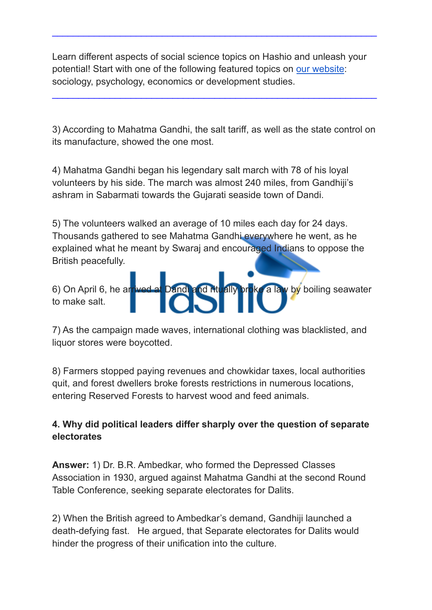$\_$  , and the set of the set of the set of the set of the set of the set of the set of the set of the set of the set of the set of the set of the set of the set of the set of the set of the set of the set of the set of th

3) According to Mahatma Gandhi, the salt tariff, as well as the state control on its manufacture, showed the one most.

 $\_$  , and the set of the set of the set of the set of the set of the set of the set of the set of the set of the set of the set of the set of the set of the set of the set of the set of the set of the set of the set of th

4) Mahatma Gandhi began his legendary salt march with 78 of his loyal volunteers by his side. The march was almost 240 miles, from Gandhiji's ashram in Sabarmati towards the Gujarati seaside town of Dandi.

5) The volunteers walked an average of 10 miles each day for 24 days. Thousands gathered to see Mahatma Gandhi everywhere he went, as he explained what he meant by Swaraj and encouraged Indians to oppose the British peacefully.

6) On April 6, he arrived at Dandi and ritually broke a law by boiling seawater to make salt.

7) As the campaign made waves, international clothing was blacklisted, and liquor stores were boycotted.

8) Farmers stopped paying revenues and chowkidar taxes, local authorities quit, and forest dwellers broke forests restrictions in numerous locations, entering Reserved Forests to harvest wood and feed animals.

#### **4. Why did political leaders differ sharply over the question of separate electorates**

**Answer:** 1) Dr. B.R. Ambedkar, who formed the Depressed Classes Association in 1930, argued against Mahatma Gandhi at the second Round Table Conference, seeking separate electorates for Dalits.

2) When the British agreed to Ambedkar's demand, Gandhiji launched a death-defying fast. He argued, that Separate electorates for Dalits would hinder the progress of their unification into the culture.